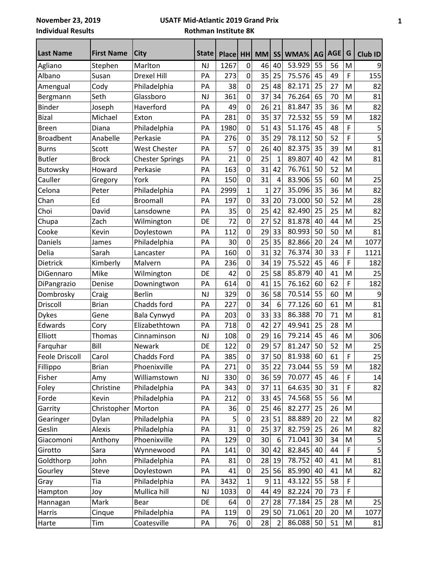## **USATF Mid-Atlantic 2019 Grand Prix Rothman Institute 8K**

| <b>Last Name</b>      | <b>First Name</b> | <b>City</b>            | <b>State</b> | <b>Place</b> | HH          | <b>MM</b> | <b>SS</b>      | WMA%   | <b>AG</b> | <b>AGE</b> | G           | <b>Club ID</b> |
|-----------------------|-------------------|------------------------|--------------|--------------|-------------|-----------|----------------|--------|-----------|------------|-------------|----------------|
| Agliano               | Stephen           | Marlton                | <b>NJ</b>    | 1267         | $\mathbf 0$ | 46        | 40             | 53.929 | 55        | 56         | M           | 9              |
| Albano                | Susan             | <b>Drexel Hill</b>     | PA           | 273          | 0           | 35        | 25             | 75.576 | 45        | 49         | F           | 155            |
| Amengual              | Cody              | Philadelphia           | PA           | 38           | 0           | 25        | 48             | 82.171 | 25        | 27         | M           | 82             |
| Bergmann              | Seth              | Glassboro              | <b>NJ</b>    | 361          | 0           | 37        | 34             | 76.264 | 65        | 70         | M           | 81             |
| <b>Binder</b>         | Joseph            | Haverford              | PA           | 49           | 0           | 26        | 21             | 81.847 | 35        | 36         | M           | 82             |
| <b>Bizal</b>          | Michael           | Exton                  | PA           | 281          | 0           | 35        | 37             | 72.532 | 55        | 59         | M           | 182            |
| <b>Breen</b>          | Diana             | Philadelphia           | PA           | 1980         | 0           | 51        | 43             | 51.176 | 45        | 48         | F           | 5              |
| <b>Broadbent</b>      | Anabelle          | Perkasie               | PA           | 276          | 0           | 35        | 29             | 78.112 | 50        | 52         | F           | 5              |
| <b>Burns</b>          | Scott             | <b>West Chester</b>    | PA           | 57           | 0           | 26        | 40             | 82.375 | 35        | 39         | M           | 81             |
| <b>Butler</b>         | <b>Brock</b>      | <b>Chester Springs</b> | PA           | 21           | 0           | 25        | $\mathbf{1}$   | 89.807 | 40        | 42         | M           | 81             |
| Butowsky              | Howard            | Perkasie               | PA           | 163          | 0           | 31        | 42             | 76.761 | 50        | 52         | M           |                |
| Cauller               | Gregory           | York                   | PA           | 150          | 0           | 31        | 4              | 83.906 | 55        | 60         | M           | 25             |
| Celona                | Peter             | Philadelphia           | PA           | 2999         | 1           | 1         | 27             | 35.096 | 35        | 36         | M           | 82             |
| Chan                  | Ed                | <b>Broomall</b>        | PA           | 197          | 0           | 33        | 20             | 73.000 | 50        | 52         | M           | 28             |
| Choi                  | David             | Lansdowne              | PA           | 35           | 0           | 25        | 42             | 82.490 | 25        | 25         | M           | 82             |
| Chupa                 | Zach              | Wilmington             | DE           | 72           | 0           | 27        | 52             | 81.878 | 40        | 44         | M           | 25             |
| Cooke                 | Kevin             | Doylestown             | PA           | 112          | 0           | 29        | 33             | 80.993 | 50        | 50         | M           | 81             |
| Daniels               | James             | Philadelphia           | PA           | 30           | 0           | 25        | 35             | 82.866 | 20        | 24         | M           | 1077           |
| Delia                 | Sarah             | Lancaster              | PA           | 160          | 0           | 31        | 32             | 76.374 | 30        | 33         | F           | 1121           |
| Dietrick              | Kimberly          | Malvern                | PA           | 236          | 0           | 34        | 19             | 75.522 | 45        | 46         | F           | 182            |
| DiGennaro             | Mike              | Wilmington             | DE           | 42           | 0           | 25        | 58             | 85.879 | 40        | 41         | M           | 25             |
| DiPangrazio           | Denise            | Downingtwon            | PA           | 614          | 0           | 41        | 15             | 76.162 | 60        | 62         | F           | 182            |
| Dombrosky             | Craig             | <b>Berlin</b>          | <b>NJ</b>    | 329          | 0           | 36        | 58             | 70.514 | 55        | 60         | M           | 9              |
| Driscoll              | <b>Brian</b>      | Chadds ford            | PA           | 227          | 0           | 34        | 6              | 77.126 | 60        | 61         | M           | 81             |
| <b>Dykes</b>          | Gene              | Bala Cynwyd            | PA           | 203          | 0           | 33        | 33             | 86.388 | 70        | 71         | M           | 81             |
| Edwards               | Cory              | Elizabethtown          | PA           | 718          | 0           | 42        | 27             | 49.941 | 25        | 28         | M           |                |
| Elliott               | Thomas            | Cinnaminson            | <b>NJ</b>    | 108          | 0           | 29        | 16             | 79.214 | 45        | 46         | M           | 306            |
| Farquhar              | Bill              | <b>Newark</b>          | DE           | 122          | 0           | 29        | 57             | 81.247 | 50        | 52         | M           | 25             |
| <b>Feole Driscoll</b> | Carol             | Chadds Ford            | PA           | 385          | 0           | 37        | 50             | 81.938 | 60        | 61         | F           | 25             |
|                       |                   |                        |              |              |             |           |                |        |           |            |             |                |
| Fillippo              | <b>Brian</b>      | Phoenixville           | PA           | 271          | 0           | 35        | 22             | 73.044 | 55        | 59         | M           | 182            |
| Fisher                | Amy               | Williamstown           | NJ           | 330          | 0           | 36        | 59             | 70.077 | 45        | 46         | F           | 14             |
| Foley                 | Christine         | Philadelphia           | PA           | 343          | 0           | 37        | 11             | 64.635 | 30        | 31         | F           | 82             |
| Forde                 | Kevin             | Philadelphia           | PA           | 212          | 0           | 33        | 45             | 74.568 | 55        | 56         | M           |                |
| Garrity               | Christopher       | Morton                 | PA           | 36           | 0           | 25        | 46             | 82.277 | 25        | 26         | M           |                |
| Gearinger             | Dylan             | Philadelphia           | PA           | 5            | $\pmb{0}$   | 23        | 51             | 88.889 | 20        | 22         | M           | 82             |
| Geslin                | Alexis            | Philadelphia           | PA           | 31           | 0           | 25        | 37             | 82.759 | 25        | 26         | M           | 82             |
| Giacomoni             | Anthony           | Phoenixville           | PA           | 129          | 0           | 30        | 6              | 71.041 | 30        | 34         | M           | 5              |
| Girotto               | Sara              | Wynnewood              | PA           | 141          | 0           | 30        | 42             | 82.845 | 40        | 44         | $\mathsf F$ | 5              |
| Goldthorp             | John              | Philadelphia           | PA           | 81           | 0           | 28        | 19             | 78.752 | 40        | 41         | M           | 81             |
| Gourley               | <b>Steve</b>      | Doylestown             | PA           | 41           | 0           | 25        | 56             | 85.990 | 40        | 41         | M           | 82             |
| Gray                  | Tia               | Philadelphia           | PA           | 3432         | 1           | 9         | 11             | 43.122 | 55        | 58         | F           |                |
| Hampton               | Joy               | Mullica hill           | NJ           | 1033         | 0           | 44        | 49             | 82.224 | 70        | 73         | F           |                |
| Hannagan              | Mark              | Bear                   | DE           | 64           | 0           | 27        | 28             | 77.184 | 25        | 28         | M           | 25             |
| Harris                | Cinque            | Philadelphia           | PA           | 119          | 0           | 29        | 50             | 71.061 | 20        | 20         | M           | 1077           |
| Harte                 | Tim               | Coatesville            | PA           | 76           | 0           | 28        | $\overline{2}$ | 86.088 | 50        | 51         | M           | 81             |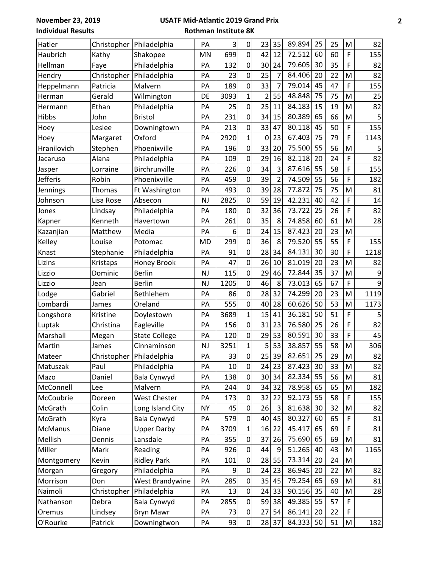**November 23, 2019 Individual Results**

## **USATF Mid-Atlantic 2019 Grand Prix Rothman Institute 8K**

| Hatler<br>Christopher<br>Philadelphia<br>M<br>PA<br>699<br>0<br>12<br>F<br>42<br>72.512<br>60<br>60<br>155<br>Haubrich<br>Kathy<br>Shakopee<br>MN<br>79.605<br>35<br>82<br>132<br>0<br>30<br>30<br>F<br>Hellman<br>Philadelphia<br>PA<br>24<br>Faye<br>$\overline{7}$<br>82<br>0<br>25<br>84.406<br>23<br>20<br>22<br>Christopher<br>Philadelphia<br>PA<br>M<br>Hendry<br>7<br>189<br>0<br>33<br>79.014<br>45<br>47<br>F<br>155<br>Heppelmann<br>Patricia<br>Malvern<br>PA<br>$\mathbf 1$<br>55<br>48.848<br>75<br>$\overline{2}$<br>75<br>25<br>3093<br>M<br>Gerald<br>Wilmington<br>DE<br>Herman<br>82<br>25<br>84.183<br>25<br>0<br>11<br>15<br>19<br>Ethan<br>Philadelphia<br>PA<br>M<br>Hermann<br>5<br>0<br>15<br>80.389<br>65<br>66<br>231<br>34<br><b>Hibbs</b><br>John<br>PA<br>M<br><b>Bristol</b><br>0<br>80.118<br>45<br>50<br>F<br>155<br>213<br>33<br>47<br>Leslee<br>PA<br>Hoey<br>Downingtown<br>$\mathbf{1}$<br>67.403<br>75<br>2920<br>79<br>F<br>1143<br>Oxford<br>23<br>PA<br>0<br>Hoey<br>Margaret<br>75.500<br>$\pmb{0}$<br>33<br>20<br>55<br>56<br>5<br>Hranilovich<br>Phoenixville<br>Stephen<br>PA<br>196<br>M<br>82<br>0<br>29<br>82.118<br>24<br>F<br>Alana<br>109<br>16<br>20<br>Philadelphia<br>PA<br>Jacaruso<br>3<br>0<br>34<br>87.616<br>55<br>58<br>F<br>155<br>226<br>Birchrunville<br>PA<br>Lorraine<br>Jasper<br>55<br>Jefferis<br>0<br>39<br>$\overline{2}$<br>74.509<br>56<br>F<br>Phoenixville<br>459<br>182<br>Robin<br>PA<br>0<br>77.872<br>75<br>75<br>81<br>493<br>39<br>28<br>M<br>Ft Washington<br>PA<br>Jennings<br>Thomas<br>0<br>59<br>42.231<br>F<br>2825<br>19<br>40<br>42<br>14<br>Lisa Rose<br><b>NJ</b><br>Johnson<br>Absecon<br>82<br>32<br>73.722<br>26<br>180<br>0<br>36<br>25<br>F<br>Philadelphia<br>Lindsay<br>PA<br>Jones<br>0<br>35<br>8<br>261<br>74.858<br>60<br>61<br>28<br>PA<br>M<br>Kenneth<br>Havertown<br>Kapner<br>87.423<br>20<br>6<br>0<br>24<br>15<br>23<br>Matthew<br>Media<br>PA<br>M<br>Kazanjian<br>55<br>0<br>36<br>8<br>79.520<br>55<br>F<br>299<br>Kelley<br>155<br><b>MD</b><br>Louise<br>Potomac<br>0<br>28<br>34<br>84.131<br>30<br>30<br>F<br>Knast<br>91<br>1218<br>Philadelphia<br>PA<br>Stephanie<br>81.019<br>0<br>23<br>82<br>Lizins<br>PA<br>47<br>26<br>10<br>20<br>Kristaps<br>Honey Brook<br>M<br>0<br>72.844<br>35<br>37<br><b>Berlin</b><br>115<br>29<br>46<br>9<br>Lizzio<br>Dominic<br>NJ<br>M<br>0<br>46<br>73.013<br>65<br>67<br>F<br>9<br><b>Berlin</b><br>1205<br>8<br>Lizzio<br><b>NJ</b><br>Jean<br>1119<br>0<br>32<br>74.299<br>86<br>28<br>20<br>23<br>M<br>Lodge<br>Gabriel<br>Bethlehem<br>PA<br>555<br>60.626<br>50<br>53<br>Lombardi<br>0<br>40<br>28<br>1173<br>Oreland<br>M<br>James<br>PA<br>36.181<br>50<br>51<br>3689<br>1<br>15<br>41<br>F<br>5<br>Longshore<br>PA<br>Kristine<br>Doylestown<br>82<br>25<br>F<br>0<br>23<br>76.580<br>26<br>Eagleville<br>PA<br>156<br>31<br>Luptak<br>Christina<br>29<br>53<br>80.591<br>30<br>33<br>F<br>45<br><b>State College</b><br>120<br>0<br>PA<br>Megan<br>$\mathbf 1$<br>5<br>53<br>38.857<br>55<br>3251<br>58<br>306<br>NJ<br>M<br>Martin<br>Cinnaminson<br>James<br>25<br>25<br>33<br>29<br>82<br>0<br>39<br>82.651<br>${\sf M}$<br>Christopher   Philadelphia<br>PA<br>Mateer<br>0<br>87.423<br>30<br>82<br>Philadelphia<br>10<br>24<br>23<br>33<br>M<br>Paul<br>PA<br>Matuszak<br>82.334<br>55<br>138<br>34<br>56<br>81<br>Mazo<br>Daniel<br>Bala Cynwyd<br>0<br>30<br>PA<br>M<br>78.958<br>182<br>0<br>34<br>32<br>65<br>65<br>McConnell<br>Malvern<br>PA<br>244<br>M<br>Lee<br>92.173<br>55<br><b>West Chester</b><br>32<br>22<br>58<br>F<br>McCoubrie<br>PA<br>173<br>0<br>155<br>Doreen<br>81.638<br>McGrath<br>Colin<br>Long Island City<br>45<br>26<br>3<br>30<br>32<br>82<br><b>NY</b><br>0<br>M<br>40<br>80.327<br>F<br>81<br>Bala Cynwyd<br>579<br>0<br>45<br>60<br>65<br>McGrath<br>PA<br>Kyra<br>45.417<br>65<br><b>Upper Darby</b><br>3709<br>22<br>69<br>81<br><b>McManus</b><br>Diane<br>PA<br>1<br>16<br>F<br>$\pmb{0}$<br>37<br>75.690<br>65<br>69<br>81<br>Mellish<br>Lansdale<br>355<br>26<br>Dennis<br>PA<br>M<br>Miller<br>51.265<br>926<br>0<br>44<br>40<br>43<br>Reading<br>PA<br>9<br>1165<br>Mark<br>M<br><b>Ridley Park</b><br>73.314<br>Montgomery<br>Kevin<br>101<br>0<br>28<br>55<br>20<br>24<br>PA<br>M<br>Philadelphia<br>9<br>86.945<br>22<br>82<br>Morgan<br>Gregory<br>PA<br>0<br>24<br>23<br>20<br>M<br>35<br>285<br>79.254<br>65<br>69<br>81<br>West Brandywine<br>0<br>45<br>Morrison<br>Don<br>PA<br>M<br>90.156<br>35<br>Christopher<br>Philadelphia<br>24<br>33<br>40<br>28<br>Naimoli<br>PA<br>13<br>0<br>M<br>Bala Cynwyd<br>59<br>38<br>49.385<br>55<br>57<br>Nathanson<br>Debra<br>2855<br>0<br>F<br>PA<br>0<br>27<br>86.141<br>22<br>F<br>73<br>54<br>20<br>Lindsey<br><b>Bryn Mawr</b><br>PA<br>Oremus<br>84.333<br>O'Rourke<br>93<br>0<br>28 37<br>50<br>51<br>Downingtwon<br>PA<br>182<br>Patrick<br>M |          |  |   |   |    |    |        |    |    |    |
|------------------------------------------------------------------------------------------------------------------------------------------------------------------------------------------------------------------------------------------------------------------------------------------------------------------------------------------------------------------------------------------------------------------------------------------------------------------------------------------------------------------------------------------------------------------------------------------------------------------------------------------------------------------------------------------------------------------------------------------------------------------------------------------------------------------------------------------------------------------------------------------------------------------------------------------------------------------------------------------------------------------------------------------------------------------------------------------------------------------------------------------------------------------------------------------------------------------------------------------------------------------------------------------------------------------------------------------------------------------------------------------------------------------------------------------------------------------------------------------------------------------------------------------------------------------------------------------------------------------------------------------------------------------------------------------------------------------------------------------------------------------------------------------------------------------------------------------------------------------------------------------------------------------------------------------------------------------------------------------------------------------------------------------------------------------------------------------------------------------------------------------------------------------------------------------------------------------------------------------------------------------------------------------------------------------------------------------------------------------------------------------------------------------------------------------------------------------------------------------------------------------------------------------------------------------------------------------------------------------------------------------------------------------------------------------------------------------------------------------------------------------------------------------------------------------------------------------------------------------------------------------------------------------------------------------------------------------------------------------------------------------------------------------------------------------------------------------------------------------------------------------------------------------------------------------------------------------------------------------------------------------------------------------------------------------------------------------------------------------------------------------------------------------------------------------------------------------------------------------------------------------------------------------------------------------------------------------------------------------------------------------------------------------------------------------------------------------------------------------------------------------------------------------------------------------------------------------------------------------------------------------------------------------------------------------------------------------------------------------------------------------------------------------------------------------------------------------------------------------------------------------------------------------------------------------------------------------------------------------------------------------------------------------------------------------------------------------------------------------------------------------------------------------------------------------------------------------------------------------------------------------------------------------------------------------------------------------------------------------------------------------------------------------------------------------------------------------------------------------------------------------------------------------------------------------------------------------------------------------------------------------------------------------------|----------|--|---|---|----|----|--------|----|----|----|
|                                                                                                                                                                                                                                                                                                                                                                                                                                                                                                                                                                                                                                                                                                                                                                                                                                                                                                                                                                                                                                                                                                                                                                                                                                                                                                                                                                                                                                                                                                                                                                                                                                                                                                                                                                                                                                                                                                                                                                                                                                                                                                                                                                                                                                                                                                                                                                                                                                                                                                                                                                                                                                                                                                                                                                                                                                                                                                                                                                                                                                                                                                                                                                                                                                                                                                                                                                                                                                                                                                                                                                                                                                                                                                                                                                                                                                                                                                                                                                                                                                                                                                                                                                                                                                                                                                                                                                                                                                                                                                                                                                                                                                                                                                                                                                                                                                                                                                                        |          |  | 3 | 0 | 23 | 35 | 89.894 | 25 | 25 | 82 |
|                                                                                                                                                                                                                                                                                                                                                                                                                                                                                                                                                                                                                                                                                                                                                                                                                                                                                                                                                                                                                                                                                                                                                                                                                                                                                                                                                                                                                                                                                                                                                                                                                                                                                                                                                                                                                                                                                                                                                                                                                                                                                                                                                                                                                                                                                                                                                                                                                                                                                                                                                                                                                                                                                                                                                                                                                                                                                                                                                                                                                                                                                                                                                                                                                                                                                                                                                                                                                                                                                                                                                                                                                                                                                                                                                                                                                                                                                                                                                                                                                                                                                                                                                                                                                                                                                                                                                                                                                                                                                                                                                                                                                                                                                                                                                                                                                                                                                                                        |          |  |   |   |    |    |        |    |    |    |
|                                                                                                                                                                                                                                                                                                                                                                                                                                                                                                                                                                                                                                                                                                                                                                                                                                                                                                                                                                                                                                                                                                                                                                                                                                                                                                                                                                                                                                                                                                                                                                                                                                                                                                                                                                                                                                                                                                                                                                                                                                                                                                                                                                                                                                                                                                                                                                                                                                                                                                                                                                                                                                                                                                                                                                                                                                                                                                                                                                                                                                                                                                                                                                                                                                                                                                                                                                                                                                                                                                                                                                                                                                                                                                                                                                                                                                                                                                                                                                                                                                                                                                                                                                                                                                                                                                                                                                                                                                                                                                                                                                                                                                                                                                                                                                                                                                                                                                                        |          |  |   |   |    |    |        |    |    |    |
|                                                                                                                                                                                                                                                                                                                                                                                                                                                                                                                                                                                                                                                                                                                                                                                                                                                                                                                                                                                                                                                                                                                                                                                                                                                                                                                                                                                                                                                                                                                                                                                                                                                                                                                                                                                                                                                                                                                                                                                                                                                                                                                                                                                                                                                                                                                                                                                                                                                                                                                                                                                                                                                                                                                                                                                                                                                                                                                                                                                                                                                                                                                                                                                                                                                                                                                                                                                                                                                                                                                                                                                                                                                                                                                                                                                                                                                                                                                                                                                                                                                                                                                                                                                                                                                                                                                                                                                                                                                                                                                                                                                                                                                                                                                                                                                                                                                                                                                        |          |  |   |   |    |    |        |    |    |    |
|                                                                                                                                                                                                                                                                                                                                                                                                                                                                                                                                                                                                                                                                                                                                                                                                                                                                                                                                                                                                                                                                                                                                                                                                                                                                                                                                                                                                                                                                                                                                                                                                                                                                                                                                                                                                                                                                                                                                                                                                                                                                                                                                                                                                                                                                                                                                                                                                                                                                                                                                                                                                                                                                                                                                                                                                                                                                                                                                                                                                                                                                                                                                                                                                                                                                                                                                                                                                                                                                                                                                                                                                                                                                                                                                                                                                                                                                                                                                                                                                                                                                                                                                                                                                                                                                                                                                                                                                                                                                                                                                                                                                                                                                                                                                                                                                                                                                                                                        |          |  |   |   |    |    |        |    |    |    |
|                                                                                                                                                                                                                                                                                                                                                                                                                                                                                                                                                                                                                                                                                                                                                                                                                                                                                                                                                                                                                                                                                                                                                                                                                                                                                                                                                                                                                                                                                                                                                                                                                                                                                                                                                                                                                                                                                                                                                                                                                                                                                                                                                                                                                                                                                                                                                                                                                                                                                                                                                                                                                                                                                                                                                                                                                                                                                                                                                                                                                                                                                                                                                                                                                                                                                                                                                                                                                                                                                                                                                                                                                                                                                                                                                                                                                                                                                                                                                                                                                                                                                                                                                                                                                                                                                                                                                                                                                                                                                                                                                                                                                                                                                                                                                                                                                                                                                                                        |          |  |   |   |    |    |        |    |    |    |
|                                                                                                                                                                                                                                                                                                                                                                                                                                                                                                                                                                                                                                                                                                                                                                                                                                                                                                                                                                                                                                                                                                                                                                                                                                                                                                                                                                                                                                                                                                                                                                                                                                                                                                                                                                                                                                                                                                                                                                                                                                                                                                                                                                                                                                                                                                                                                                                                                                                                                                                                                                                                                                                                                                                                                                                                                                                                                                                                                                                                                                                                                                                                                                                                                                                                                                                                                                                                                                                                                                                                                                                                                                                                                                                                                                                                                                                                                                                                                                                                                                                                                                                                                                                                                                                                                                                                                                                                                                                                                                                                                                                                                                                                                                                                                                                                                                                                                                                        |          |  |   |   |    |    |        |    |    |    |
|                                                                                                                                                                                                                                                                                                                                                                                                                                                                                                                                                                                                                                                                                                                                                                                                                                                                                                                                                                                                                                                                                                                                                                                                                                                                                                                                                                                                                                                                                                                                                                                                                                                                                                                                                                                                                                                                                                                                                                                                                                                                                                                                                                                                                                                                                                                                                                                                                                                                                                                                                                                                                                                                                                                                                                                                                                                                                                                                                                                                                                                                                                                                                                                                                                                                                                                                                                                                                                                                                                                                                                                                                                                                                                                                                                                                                                                                                                                                                                                                                                                                                                                                                                                                                                                                                                                                                                                                                                                                                                                                                                                                                                                                                                                                                                                                                                                                                                                        |          |  |   |   |    |    |        |    |    |    |
|                                                                                                                                                                                                                                                                                                                                                                                                                                                                                                                                                                                                                                                                                                                                                                                                                                                                                                                                                                                                                                                                                                                                                                                                                                                                                                                                                                                                                                                                                                                                                                                                                                                                                                                                                                                                                                                                                                                                                                                                                                                                                                                                                                                                                                                                                                                                                                                                                                                                                                                                                                                                                                                                                                                                                                                                                                                                                                                                                                                                                                                                                                                                                                                                                                                                                                                                                                                                                                                                                                                                                                                                                                                                                                                                                                                                                                                                                                                                                                                                                                                                                                                                                                                                                                                                                                                                                                                                                                                                                                                                                                                                                                                                                                                                                                                                                                                                                                                        |          |  |   |   |    |    |        |    |    |    |
|                                                                                                                                                                                                                                                                                                                                                                                                                                                                                                                                                                                                                                                                                                                                                                                                                                                                                                                                                                                                                                                                                                                                                                                                                                                                                                                                                                                                                                                                                                                                                                                                                                                                                                                                                                                                                                                                                                                                                                                                                                                                                                                                                                                                                                                                                                                                                                                                                                                                                                                                                                                                                                                                                                                                                                                                                                                                                                                                                                                                                                                                                                                                                                                                                                                                                                                                                                                                                                                                                                                                                                                                                                                                                                                                                                                                                                                                                                                                                                                                                                                                                                                                                                                                                                                                                                                                                                                                                                                                                                                                                                                                                                                                                                                                                                                                                                                                                                                        |          |  |   |   |    |    |        |    |    |    |
|                                                                                                                                                                                                                                                                                                                                                                                                                                                                                                                                                                                                                                                                                                                                                                                                                                                                                                                                                                                                                                                                                                                                                                                                                                                                                                                                                                                                                                                                                                                                                                                                                                                                                                                                                                                                                                                                                                                                                                                                                                                                                                                                                                                                                                                                                                                                                                                                                                                                                                                                                                                                                                                                                                                                                                                                                                                                                                                                                                                                                                                                                                                                                                                                                                                                                                                                                                                                                                                                                                                                                                                                                                                                                                                                                                                                                                                                                                                                                                                                                                                                                                                                                                                                                                                                                                                                                                                                                                                                                                                                                                                                                                                                                                                                                                                                                                                                                                                        |          |  |   |   |    |    |        |    |    |    |
|                                                                                                                                                                                                                                                                                                                                                                                                                                                                                                                                                                                                                                                                                                                                                                                                                                                                                                                                                                                                                                                                                                                                                                                                                                                                                                                                                                                                                                                                                                                                                                                                                                                                                                                                                                                                                                                                                                                                                                                                                                                                                                                                                                                                                                                                                                                                                                                                                                                                                                                                                                                                                                                                                                                                                                                                                                                                                                                                                                                                                                                                                                                                                                                                                                                                                                                                                                                                                                                                                                                                                                                                                                                                                                                                                                                                                                                                                                                                                                                                                                                                                                                                                                                                                                                                                                                                                                                                                                                                                                                                                                                                                                                                                                                                                                                                                                                                                                                        |          |  |   |   |    |    |        |    |    |    |
|                                                                                                                                                                                                                                                                                                                                                                                                                                                                                                                                                                                                                                                                                                                                                                                                                                                                                                                                                                                                                                                                                                                                                                                                                                                                                                                                                                                                                                                                                                                                                                                                                                                                                                                                                                                                                                                                                                                                                                                                                                                                                                                                                                                                                                                                                                                                                                                                                                                                                                                                                                                                                                                                                                                                                                                                                                                                                                                                                                                                                                                                                                                                                                                                                                                                                                                                                                                                                                                                                                                                                                                                                                                                                                                                                                                                                                                                                                                                                                                                                                                                                                                                                                                                                                                                                                                                                                                                                                                                                                                                                                                                                                                                                                                                                                                                                                                                                                                        |          |  |   |   |    |    |        |    |    |    |
|                                                                                                                                                                                                                                                                                                                                                                                                                                                                                                                                                                                                                                                                                                                                                                                                                                                                                                                                                                                                                                                                                                                                                                                                                                                                                                                                                                                                                                                                                                                                                                                                                                                                                                                                                                                                                                                                                                                                                                                                                                                                                                                                                                                                                                                                                                                                                                                                                                                                                                                                                                                                                                                                                                                                                                                                                                                                                                                                                                                                                                                                                                                                                                                                                                                                                                                                                                                                                                                                                                                                                                                                                                                                                                                                                                                                                                                                                                                                                                                                                                                                                                                                                                                                                                                                                                                                                                                                                                                                                                                                                                                                                                                                                                                                                                                                                                                                                                                        |          |  |   |   |    |    |        |    |    |    |
|                                                                                                                                                                                                                                                                                                                                                                                                                                                                                                                                                                                                                                                                                                                                                                                                                                                                                                                                                                                                                                                                                                                                                                                                                                                                                                                                                                                                                                                                                                                                                                                                                                                                                                                                                                                                                                                                                                                                                                                                                                                                                                                                                                                                                                                                                                                                                                                                                                                                                                                                                                                                                                                                                                                                                                                                                                                                                                                                                                                                                                                                                                                                                                                                                                                                                                                                                                                                                                                                                                                                                                                                                                                                                                                                                                                                                                                                                                                                                                                                                                                                                                                                                                                                                                                                                                                                                                                                                                                                                                                                                                                                                                                                                                                                                                                                                                                                                                                        |          |  |   |   |    |    |        |    |    |    |
|                                                                                                                                                                                                                                                                                                                                                                                                                                                                                                                                                                                                                                                                                                                                                                                                                                                                                                                                                                                                                                                                                                                                                                                                                                                                                                                                                                                                                                                                                                                                                                                                                                                                                                                                                                                                                                                                                                                                                                                                                                                                                                                                                                                                                                                                                                                                                                                                                                                                                                                                                                                                                                                                                                                                                                                                                                                                                                                                                                                                                                                                                                                                                                                                                                                                                                                                                                                                                                                                                                                                                                                                                                                                                                                                                                                                                                                                                                                                                                                                                                                                                                                                                                                                                                                                                                                                                                                                                                                                                                                                                                                                                                                                                                                                                                                                                                                                                                                        |          |  |   |   |    |    |        |    |    |    |
|                                                                                                                                                                                                                                                                                                                                                                                                                                                                                                                                                                                                                                                                                                                                                                                                                                                                                                                                                                                                                                                                                                                                                                                                                                                                                                                                                                                                                                                                                                                                                                                                                                                                                                                                                                                                                                                                                                                                                                                                                                                                                                                                                                                                                                                                                                                                                                                                                                                                                                                                                                                                                                                                                                                                                                                                                                                                                                                                                                                                                                                                                                                                                                                                                                                                                                                                                                                                                                                                                                                                                                                                                                                                                                                                                                                                                                                                                                                                                                                                                                                                                                                                                                                                                                                                                                                                                                                                                                                                                                                                                                                                                                                                                                                                                                                                                                                                                                                        |          |  |   |   |    |    |        |    |    |    |
|                                                                                                                                                                                                                                                                                                                                                                                                                                                                                                                                                                                                                                                                                                                                                                                                                                                                                                                                                                                                                                                                                                                                                                                                                                                                                                                                                                                                                                                                                                                                                                                                                                                                                                                                                                                                                                                                                                                                                                                                                                                                                                                                                                                                                                                                                                                                                                                                                                                                                                                                                                                                                                                                                                                                                                                                                                                                                                                                                                                                                                                                                                                                                                                                                                                                                                                                                                                                                                                                                                                                                                                                                                                                                                                                                                                                                                                                                                                                                                                                                                                                                                                                                                                                                                                                                                                                                                                                                                                                                                                                                                                                                                                                                                                                                                                                                                                                                                                        |          |  |   |   |    |    |        |    |    |    |
|                                                                                                                                                                                                                                                                                                                                                                                                                                                                                                                                                                                                                                                                                                                                                                                                                                                                                                                                                                                                                                                                                                                                                                                                                                                                                                                                                                                                                                                                                                                                                                                                                                                                                                                                                                                                                                                                                                                                                                                                                                                                                                                                                                                                                                                                                                                                                                                                                                                                                                                                                                                                                                                                                                                                                                                                                                                                                                                                                                                                                                                                                                                                                                                                                                                                                                                                                                                                                                                                                                                                                                                                                                                                                                                                                                                                                                                                                                                                                                                                                                                                                                                                                                                                                                                                                                                                                                                                                                                                                                                                                                                                                                                                                                                                                                                                                                                                                                                        |          |  |   |   |    |    |        |    |    |    |
|                                                                                                                                                                                                                                                                                                                                                                                                                                                                                                                                                                                                                                                                                                                                                                                                                                                                                                                                                                                                                                                                                                                                                                                                                                                                                                                                                                                                                                                                                                                                                                                                                                                                                                                                                                                                                                                                                                                                                                                                                                                                                                                                                                                                                                                                                                                                                                                                                                                                                                                                                                                                                                                                                                                                                                                                                                                                                                                                                                                                                                                                                                                                                                                                                                                                                                                                                                                                                                                                                                                                                                                                                                                                                                                                                                                                                                                                                                                                                                                                                                                                                                                                                                                                                                                                                                                                                                                                                                                                                                                                                                                                                                                                                                                                                                                                                                                                                                                        |          |  |   |   |    |    |        |    |    |    |
|                                                                                                                                                                                                                                                                                                                                                                                                                                                                                                                                                                                                                                                                                                                                                                                                                                                                                                                                                                                                                                                                                                                                                                                                                                                                                                                                                                                                                                                                                                                                                                                                                                                                                                                                                                                                                                                                                                                                                                                                                                                                                                                                                                                                                                                                                                                                                                                                                                                                                                                                                                                                                                                                                                                                                                                                                                                                                                                                                                                                                                                                                                                                                                                                                                                                                                                                                                                                                                                                                                                                                                                                                                                                                                                                                                                                                                                                                                                                                                                                                                                                                                                                                                                                                                                                                                                                                                                                                                                                                                                                                                                                                                                                                                                                                                                                                                                                                                                        |          |  |   |   |    |    |        |    |    |    |
|                                                                                                                                                                                                                                                                                                                                                                                                                                                                                                                                                                                                                                                                                                                                                                                                                                                                                                                                                                                                                                                                                                                                                                                                                                                                                                                                                                                                                                                                                                                                                                                                                                                                                                                                                                                                                                                                                                                                                                                                                                                                                                                                                                                                                                                                                                                                                                                                                                                                                                                                                                                                                                                                                                                                                                                                                                                                                                                                                                                                                                                                                                                                                                                                                                                                                                                                                                                                                                                                                                                                                                                                                                                                                                                                                                                                                                                                                                                                                                                                                                                                                                                                                                                                                                                                                                                                                                                                                                                                                                                                                                                                                                                                                                                                                                                                                                                                                                                        |          |  |   |   |    |    |        |    |    |    |
|                                                                                                                                                                                                                                                                                                                                                                                                                                                                                                                                                                                                                                                                                                                                                                                                                                                                                                                                                                                                                                                                                                                                                                                                                                                                                                                                                                                                                                                                                                                                                                                                                                                                                                                                                                                                                                                                                                                                                                                                                                                                                                                                                                                                                                                                                                                                                                                                                                                                                                                                                                                                                                                                                                                                                                                                                                                                                                                                                                                                                                                                                                                                                                                                                                                                                                                                                                                                                                                                                                                                                                                                                                                                                                                                                                                                                                                                                                                                                                                                                                                                                                                                                                                                                                                                                                                                                                                                                                                                                                                                                                                                                                                                                                                                                                                                                                                                                                                        |          |  |   |   |    |    |        |    |    |    |
|                                                                                                                                                                                                                                                                                                                                                                                                                                                                                                                                                                                                                                                                                                                                                                                                                                                                                                                                                                                                                                                                                                                                                                                                                                                                                                                                                                                                                                                                                                                                                                                                                                                                                                                                                                                                                                                                                                                                                                                                                                                                                                                                                                                                                                                                                                                                                                                                                                                                                                                                                                                                                                                                                                                                                                                                                                                                                                                                                                                                                                                                                                                                                                                                                                                                                                                                                                                                                                                                                                                                                                                                                                                                                                                                                                                                                                                                                                                                                                                                                                                                                                                                                                                                                                                                                                                                                                                                                                                                                                                                                                                                                                                                                                                                                                                                                                                                                                                        |          |  |   |   |    |    |        |    |    |    |
|                                                                                                                                                                                                                                                                                                                                                                                                                                                                                                                                                                                                                                                                                                                                                                                                                                                                                                                                                                                                                                                                                                                                                                                                                                                                                                                                                                                                                                                                                                                                                                                                                                                                                                                                                                                                                                                                                                                                                                                                                                                                                                                                                                                                                                                                                                                                                                                                                                                                                                                                                                                                                                                                                                                                                                                                                                                                                                                                                                                                                                                                                                                                                                                                                                                                                                                                                                                                                                                                                                                                                                                                                                                                                                                                                                                                                                                                                                                                                                                                                                                                                                                                                                                                                                                                                                                                                                                                                                                                                                                                                                                                                                                                                                                                                                                                                                                                                                                        |          |  |   |   |    |    |        |    |    |    |
|                                                                                                                                                                                                                                                                                                                                                                                                                                                                                                                                                                                                                                                                                                                                                                                                                                                                                                                                                                                                                                                                                                                                                                                                                                                                                                                                                                                                                                                                                                                                                                                                                                                                                                                                                                                                                                                                                                                                                                                                                                                                                                                                                                                                                                                                                                                                                                                                                                                                                                                                                                                                                                                                                                                                                                                                                                                                                                                                                                                                                                                                                                                                                                                                                                                                                                                                                                                                                                                                                                                                                                                                                                                                                                                                                                                                                                                                                                                                                                                                                                                                                                                                                                                                                                                                                                                                                                                                                                                                                                                                                                                                                                                                                                                                                                                                                                                                                                                        |          |  |   |   |    |    |        |    |    |    |
|                                                                                                                                                                                                                                                                                                                                                                                                                                                                                                                                                                                                                                                                                                                                                                                                                                                                                                                                                                                                                                                                                                                                                                                                                                                                                                                                                                                                                                                                                                                                                                                                                                                                                                                                                                                                                                                                                                                                                                                                                                                                                                                                                                                                                                                                                                                                                                                                                                                                                                                                                                                                                                                                                                                                                                                                                                                                                                                                                                                                                                                                                                                                                                                                                                                                                                                                                                                                                                                                                                                                                                                                                                                                                                                                                                                                                                                                                                                                                                                                                                                                                                                                                                                                                                                                                                                                                                                                                                                                                                                                                                                                                                                                                                                                                                                                                                                                                                                        |          |  |   |   |    |    |        |    |    |    |
|                                                                                                                                                                                                                                                                                                                                                                                                                                                                                                                                                                                                                                                                                                                                                                                                                                                                                                                                                                                                                                                                                                                                                                                                                                                                                                                                                                                                                                                                                                                                                                                                                                                                                                                                                                                                                                                                                                                                                                                                                                                                                                                                                                                                                                                                                                                                                                                                                                                                                                                                                                                                                                                                                                                                                                                                                                                                                                                                                                                                                                                                                                                                                                                                                                                                                                                                                                                                                                                                                                                                                                                                                                                                                                                                                                                                                                                                                                                                                                                                                                                                                                                                                                                                                                                                                                                                                                                                                                                                                                                                                                                                                                                                                                                                                                                                                                                                                                                        |          |  |   |   |    |    |        |    |    |    |
|                                                                                                                                                                                                                                                                                                                                                                                                                                                                                                                                                                                                                                                                                                                                                                                                                                                                                                                                                                                                                                                                                                                                                                                                                                                                                                                                                                                                                                                                                                                                                                                                                                                                                                                                                                                                                                                                                                                                                                                                                                                                                                                                                                                                                                                                                                                                                                                                                                                                                                                                                                                                                                                                                                                                                                                                                                                                                                                                                                                                                                                                                                                                                                                                                                                                                                                                                                                                                                                                                                                                                                                                                                                                                                                                                                                                                                                                                                                                                                                                                                                                                                                                                                                                                                                                                                                                                                                                                                                                                                                                                                                                                                                                                                                                                                                                                                                                                                                        | Marshall |  |   |   |    |    |        |    |    |    |
|                                                                                                                                                                                                                                                                                                                                                                                                                                                                                                                                                                                                                                                                                                                                                                                                                                                                                                                                                                                                                                                                                                                                                                                                                                                                                                                                                                                                                                                                                                                                                                                                                                                                                                                                                                                                                                                                                                                                                                                                                                                                                                                                                                                                                                                                                                                                                                                                                                                                                                                                                                                                                                                                                                                                                                                                                                                                                                                                                                                                                                                                                                                                                                                                                                                                                                                                                                                                                                                                                                                                                                                                                                                                                                                                                                                                                                                                                                                                                                                                                                                                                                                                                                                                                                                                                                                                                                                                                                                                                                                                                                                                                                                                                                                                                                                                                                                                                                                        |          |  |   |   |    |    |        |    |    |    |
|                                                                                                                                                                                                                                                                                                                                                                                                                                                                                                                                                                                                                                                                                                                                                                                                                                                                                                                                                                                                                                                                                                                                                                                                                                                                                                                                                                                                                                                                                                                                                                                                                                                                                                                                                                                                                                                                                                                                                                                                                                                                                                                                                                                                                                                                                                                                                                                                                                                                                                                                                                                                                                                                                                                                                                                                                                                                                                                                                                                                                                                                                                                                                                                                                                                                                                                                                                                                                                                                                                                                                                                                                                                                                                                                                                                                                                                                                                                                                                                                                                                                                                                                                                                                                                                                                                                                                                                                                                                                                                                                                                                                                                                                                                                                                                                                                                                                                                                        |          |  |   |   |    |    |        |    |    |    |
|                                                                                                                                                                                                                                                                                                                                                                                                                                                                                                                                                                                                                                                                                                                                                                                                                                                                                                                                                                                                                                                                                                                                                                                                                                                                                                                                                                                                                                                                                                                                                                                                                                                                                                                                                                                                                                                                                                                                                                                                                                                                                                                                                                                                                                                                                                                                                                                                                                                                                                                                                                                                                                                                                                                                                                                                                                                                                                                                                                                                                                                                                                                                                                                                                                                                                                                                                                                                                                                                                                                                                                                                                                                                                                                                                                                                                                                                                                                                                                                                                                                                                                                                                                                                                                                                                                                                                                                                                                                                                                                                                                                                                                                                                                                                                                                                                                                                                                                        |          |  |   |   |    |    |        |    |    |    |
|                                                                                                                                                                                                                                                                                                                                                                                                                                                                                                                                                                                                                                                                                                                                                                                                                                                                                                                                                                                                                                                                                                                                                                                                                                                                                                                                                                                                                                                                                                                                                                                                                                                                                                                                                                                                                                                                                                                                                                                                                                                                                                                                                                                                                                                                                                                                                                                                                                                                                                                                                                                                                                                                                                                                                                                                                                                                                                                                                                                                                                                                                                                                                                                                                                                                                                                                                                                                                                                                                                                                                                                                                                                                                                                                                                                                                                                                                                                                                                                                                                                                                                                                                                                                                                                                                                                                                                                                                                                                                                                                                                                                                                                                                                                                                                                                                                                                                                                        |          |  |   |   |    |    |        |    |    |    |
|                                                                                                                                                                                                                                                                                                                                                                                                                                                                                                                                                                                                                                                                                                                                                                                                                                                                                                                                                                                                                                                                                                                                                                                                                                                                                                                                                                                                                                                                                                                                                                                                                                                                                                                                                                                                                                                                                                                                                                                                                                                                                                                                                                                                                                                                                                                                                                                                                                                                                                                                                                                                                                                                                                                                                                                                                                                                                                                                                                                                                                                                                                                                                                                                                                                                                                                                                                                                                                                                                                                                                                                                                                                                                                                                                                                                                                                                                                                                                                                                                                                                                                                                                                                                                                                                                                                                                                                                                                                                                                                                                                                                                                                                                                                                                                                                                                                                                                                        |          |  |   |   |    |    |        |    |    |    |
|                                                                                                                                                                                                                                                                                                                                                                                                                                                                                                                                                                                                                                                                                                                                                                                                                                                                                                                                                                                                                                                                                                                                                                                                                                                                                                                                                                                                                                                                                                                                                                                                                                                                                                                                                                                                                                                                                                                                                                                                                                                                                                                                                                                                                                                                                                                                                                                                                                                                                                                                                                                                                                                                                                                                                                                                                                                                                                                                                                                                                                                                                                                                                                                                                                                                                                                                                                                                                                                                                                                                                                                                                                                                                                                                                                                                                                                                                                                                                                                                                                                                                                                                                                                                                                                                                                                                                                                                                                                                                                                                                                                                                                                                                                                                                                                                                                                                                                                        |          |  |   |   |    |    |        |    |    |    |
|                                                                                                                                                                                                                                                                                                                                                                                                                                                                                                                                                                                                                                                                                                                                                                                                                                                                                                                                                                                                                                                                                                                                                                                                                                                                                                                                                                                                                                                                                                                                                                                                                                                                                                                                                                                                                                                                                                                                                                                                                                                                                                                                                                                                                                                                                                                                                                                                                                                                                                                                                                                                                                                                                                                                                                                                                                                                                                                                                                                                                                                                                                                                                                                                                                                                                                                                                                                                                                                                                                                                                                                                                                                                                                                                                                                                                                                                                                                                                                                                                                                                                                                                                                                                                                                                                                                                                                                                                                                                                                                                                                                                                                                                                                                                                                                                                                                                                                                        |          |  |   |   |    |    |        |    |    |    |
|                                                                                                                                                                                                                                                                                                                                                                                                                                                                                                                                                                                                                                                                                                                                                                                                                                                                                                                                                                                                                                                                                                                                                                                                                                                                                                                                                                                                                                                                                                                                                                                                                                                                                                                                                                                                                                                                                                                                                                                                                                                                                                                                                                                                                                                                                                                                                                                                                                                                                                                                                                                                                                                                                                                                                                                                                                                                                                                                                                                                                                                                                                                                                                                                                                                                                                                                                                                                                                                                                                                                                                                                                                                                                                                                                                                                                                                                                                                                                                                                                                                                                                                                                                                                                                                                                                                                                                                                                                                                                                                                                                                                                                                                                                                                                                                                                                                                                                                        |          |  |   |   |    |    |        |    |    |    |
|                                                                                                                                                                                                                                                                                                                                                                                                                                                                                                                                                                                                                                                                                                                                                                                                                                                                                                                                                                                                                                                                                                                                                                                                                                                                                                                                                                                                                                                                                                                                                                                                                                                                                                                                                                                                                                                                                                                                                                                                                                                                                                                                                                                                                                                                                                                                                                                                                                                                                                                                                                                                                                                                                                                                                                                                                                                                                                                                                                                                                                                                                                                                                                                                                                                                                                                                                                                                                                                                                                                                                                                                                                                                                                                                                                                                                                                                                                                                                                                                                                                                                                                                                                                                                                                                                                                                                                                                                                                                                                                                                                                                                                                                                                                                                                                                                                                                                                                        |          |  |   |   |    |    |        |    |    |    |
|                                                                                                                                                                                                                                                                                                                                                                                                                                                                                                                                                                                                                                                                                                                                                                                                                                                                                                                                                                                                                                                                                                                                                                                                                                                                                                                                                                                                                                                                                                                                                                                                                                                                                                                                                                                                                                                                                                                                                                                                                                                                                                                                                                                                                                                                                                                                                                                                                                                                                                                                                                                                                                                                                                                                                                                                                                                                                                                                                                                                                                                                                                                                                                                                                                                                                                                                                                                                                                                                                                                                                                                                                                                                                                                                                                                                                                                                                                                                                                                                                                                                                                                                                                                                                                                                                                                                                                                                                                                                                                                                                                                                                                                                                                                                                                                                                                                                                                                        |          |  |   |   |    |    |        |    |    |    |
|                                                                                                                                                                                                                                                                                                                                                                                                                                                                                                                                                                                                                                                                                                                                                                                                                                                                                                                                                                                                                                                                                                                                                                                                                                                                                                                                                                                                                                                                                                                                                                                                                                                                                                                                                                                                                                                                                                                                                                                                                                                                                                                                                                                                                                                                                                                                                                                                                                                                                                                                                                                                                                                                                                                                                                                                                                                                                                                                                                                                                                                                                                                                                                                                                                                                                                                                                                                                                                                                                                                                                                                                                                                                                                                                                                                                                                                                                                                                                                                                                                                                                                                                                                                                                                                                                                                                                                                                                                                                                                                                                                                                                                                                                                                                                                                                                                                                                                                        |          |  |   |   |    |    |        |    |    |    |
|                                                                                                                                                                                                                                                                                                                                                                                                                                                                                                                                                                                                                                                                                                                                                                                                                                                                                                                                                                                                                                                                                                                                                                                                                                                                                                                                                                                                                                                                                                                                                                                                                                                                                                                                                                                                                                                                                                                                                                                                                                                                                                                                                                                                                                                                                                                                                                                                                                                                                                                                                                                                                                                                                                                                                                                                                                                                                                                                                                                                                                                                                                                                                                                                                                                                                                                                                                                                                                                                                                                                                                                                                                                                                                                                                                                                                                                                                                                                                                                                                                                                                                                                                                                                                                                                                                                                                                                                                                                                                                                                                                                                                                                                                                                                                                                                                                                                                                                        |          |  |   |   |    |    |        |    |    |    |
|                                                                                                                                                                                                                                                                                                                                                                                                                                                                                                                                                                                                                                                                                                                                                                                                                                                                                                                                                                                                                                                                                                                                                                                                                                                                                                                                                                                                                                                                                                                                                                                                                                                                                                                                                                                                                                                                                                                                                                                                                                                                                                                                                                                                                                                                                                                                                                                                                                                                                                                                                                                                                                                                                                                                                                                                                                                                                                                                                                                                                                                                                                                                                                                                                                                                                                                                                                                                                                                                                                                                                                                                                                                                                                                                                                                                                                                                                                                                                                                                                                                                                                                                                                                                                                                                                                                                                                                                                                                                                                                                                                                                                                                                                                                                                                                                                                                                                                                        |          |  |   |   |    |    |        |    |    |    |
|                                                                                                                                                                                                                                                                                                                                                                                                                                                                                                                                                                                                                                                                                                                                                                                                                                                                                                                                                                                                                                                                                                                                                                                                                                                                                                                                                                                                                                                                                                                                                                                                                                                                                                                                                                                                                                                                                                                                                                                                                                                                                                                                                                                                                                                                                                                                                                                                                                                                                                                                                                                                                                                                                                                                                                                                                                                                                                                                                                                                                                                                                                                                                                                                                                                                                                                                                                                                                                                                                                                                                                                                                                                                                                                                                                                                                                                                                                                                                                                                                                                                                                                                                                                                                                                                                                                                                                                                                                                                                                                                                                                                                                                                                                                                                                                                                                                                                                                        |          |  |   |   |    |    |        |    |    |    |
|                                                                                                                                                                                                                                                                                                                                                                                                                                                                                                                                                                                                                                                                                                                                                                                                                                                                                                                                                                                                                                                                                                                                                                                                                                                                                                                                                                                                                                                                                                                                                                                                                                                                                                                                                                                                                                                                                                                                                                                                                                                                                                                                                                                                                                                                                                                                                                                                                                                                                                                                                                                                                                                                                                                                                                                                                                                                                                                                                                                                                                                                                                                                                                                                                                                                                                                                                                                                                                                                                                                                                                                                                                                                                                                                                                                                                                                                                                                                                                                                                                                                                                                                                                                                                                                                                                                                                                                                                                                                                                                                                                                                                                                                                                                                                                                                                                                                                                                        |          |  |   |   |    |    |        |    |    |    |
|                                                                                                                                                                                                                                                                                                                                                                                                                                                                                                                                                                                                                                                                                                                                                                                                                                                                                                                                                                                                                                                                                                                                                                                                                                                                                                                                                                                                                                                                                                                                                                                                                                                                                                                                                                                                                                                                                                                                                                                                                                                                                                                                                                                                                                                                                                                                                                                                                                                                                                                                                                                                                                                                                                                                                                                                                                                                                                                                                                                                                                                                                                                                                                                                                                                                                                                                                                                                                                                                                                                                                                                                                                                                                                                                                                                                                                                                                                                                                                                                                                                                                                                                                                                                                                                                                                                                                                                                                                                                                                                                                                                                                                                                                                                                                                                                                                                                                                                        |          |  |   |   |    |    |        |    |    |    |
|                                                                                                                                                                                                                                                                                                                                                                                                                                                                                                                                                                                                                                                                                                                                                                                                                                                                                                                                                                                                                                                                                                                                                                                                                                                                                                                                                                                                                                                                                                                                                                                                                                                                                                                                                                                                                                                                                                                                                                                                                                                                                                                                                                                                                                                                                                                                                                                                                                                                                                                                                                                                                                                                                                                                                                                                                                                                                                                                                                                                                                                                                                                                                                                                                                                                                                                                                                                                                                                                                                                                                                                                                                                                                                                                                                                                                                                                                                                                                                                                                                                                                                                                                                                                                                                                                                                                                                                                                                                                                                                                                                                                                                                                                                                                                                                                                                                                                                                        |          |  |   |   |    |    |        |    |    |    |
|                                                                                                                                                                                                                                                                                                                                                                                                                                                                                                                                                                                                                                                                                                                                                                                                                                                                                                                                                                                                                                                                                                                                                                                                                                                                                                                                                                                                                                                                                                                                                                                                                                                                                                                                                                                                                                                                                                                                                                                                                                                                                                                                                                                                                                                                                                                                                                                                                                                                                                                                                                                                                                                                                                                                                                                                                                                                                                                                                                                                                                                                                                                                                                                                                                                                                                                                                                                                                                                                                                                                                                                                                                                                                                                                                                                                                                                                                                                                                                                                                                                                                                                                                                                                                                                                                                                                                                                                                                                                                                                                                                                                                                                                                                                                                                                                                                                                                                                        |          |  |   |   |    |    |        |    |    |    |